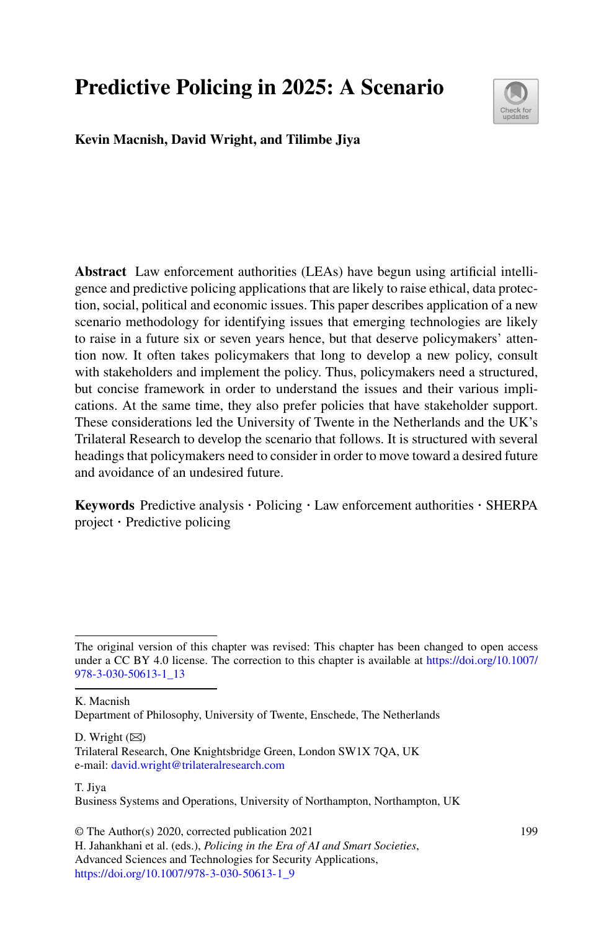# **Predictive Policing in 2025: A Scenario**



**Kevin Macnish, David Wright, and Tilimbe Jiya**

**Abstract** Law enforcement authorities (LEAs) have begun using artificial intelligence and predictive policing applications that are likely to raise ethical, data protection, social, political and economic issues. This paper describes application of a new scenario methodology for identifying issues that emerging technologies are likely to raise in a future six or seven years hence, but that deserve policymakers' attention now. It often takes policymakers that long to develop a new policy, consult with stakeholders and implement the policy. Thus, policymakers need a structured, but concise framework in order to understand the issues and their various implications. At the same time, they also prefer policies that have stakeholder support. These considerations led the University of Twente in the Netherlands and the UK's Trilateral Research to develop the scenario that follows. It is structured with several headings that policymakers need to consider in order to move toward a desired future and avoidance of an undesired future.

**Keywords** Predictive analysis · Policing · Law enforcement authorities · SHERPA project · Predictive policing

K. Macnish

Department of Philosophy, University of Twente, Enschede, The Netherlands

D. Wright  $(\boxtimes)$ Trilateral Research, One Knightsbridge Green, London SW1X 7QA, UK e-mail: [david.wright@trilateralresearch.com](mailto:david.wright@trilateralresearch.com)

T. Jiya

Business Systems and Operations, University of Northampton, Northampton, UK

© The Author(s) 2020, corrected publication 2021

The original version of this chapter was revised: This chapter has been changed to open access [under a CC BY 4.0 license. The correction to this chapter is available at](https://doi.org/10.1007/978-3-030-50613-1_13) https://doi.org/10.1007/ 978-3-030-50613-1\_13

H. Jahankhani et al. (eds.), *Policing in the Era of AI and Smart Societies*, Advanced Sciences and Technologies for Security Applications, [https://doi.org/10.1007/978-3-030-50613-1\\_9](https://doi.org/10.1007/978-3-030-50613-1_9)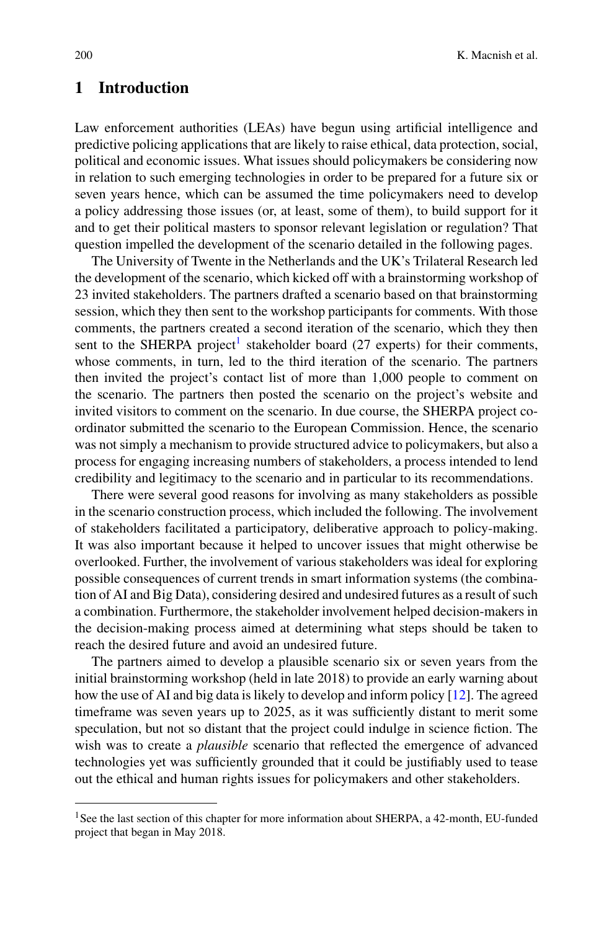#### **1 Introduction**

Law enforcement authorities (LEAs) have begun using artificial intelligence and predictive policing applications that are likely to raise ethical, data protection, social, political and economic issues. What issues should policymakers be considering now in relation to such emerging technologies in order to be prepared for a future six or seven years hence, which can be assumed the time policymakers need to develop a policy addressing those issues (or, at least, some of them), to build support for it and to get their political masters to sponsor relevant legislation or regulation? That question impelled the development of the scenario detailed in the following pages.

The University of Twente in the Netherlands and the UK's Trilateral Research led the development of the scenario, which kicked off with a brainstorming workshop of 23 invited stakeholders. The partners drafted a scenario based on that brainstorming session, which they then sent to the workshop participants for comments. With those comments, the partners created a second iteration of the scenario, which they then sent to the SHERPA project<sup>[1](#page-1-0)</sup> stakeholder board (27 experts) for their comments, whose comments, in turn, led to the third iteration of the scenario. The partners then invited the project's contact list of more than 1,000 people to comment on the scenario. The partners then posted the scenario on the project's website and invited visitors to comment on the scenario. In due course, the SHERPA project coordinator submitted the scenario to the European Commission. Hence, the scenario was not simply a mechanism to provide structured advice to policymakers, but also a process for engaging increasing numbers of stakeholders, a process intended to lend credibility and legitimacy to the scenario and in particular to its recommendations.

There were several good reasons for involving as many stakeholders as possible in the scenario construction process, which included the following. The involvement of stakeholders facilitated a participatory, deliberative approach to policy-making. It was also important because it helped to uncover issues that might otherwise be overlooked. Further, the involvement of various stakeholders was ideal for exploring possible consequences of current trends in smart information systems (the combination of AI and Big Data), considering desired and undesired futures as a result of such a combination. Furthermore, the stakeholder involvement helped decision-makers in the decision-making process aimed at determining what steps should be taken to reach the desired future and avoid an undesired future.

The partners aimed to develop a plausible scenario six or seven years from the initial brainstorming workshop (held in late 2018) to provide an early warning about how the use of AI and big data is likely to develop and inform policy [\[12\]](#page-16-0). The agreed timeframe was seven years up to 2025, as it was sufficiently distant to merit some speculation, but not so distant that the project could indulge in science fiction. The wish was to create a *plausible* scenario that reflected the emergence of advanced technologies yet was sufficiently grounded that it could be justifiably used to tease out the ethical and human rights issues for policymakers and other stakeholders.

<span id="page-1-0"></span><sup>&</sup>lt;sup>1</sup>See the last section of this chapter for more information about SHERPA, a 42-month, EU-funded project that began in May 2018.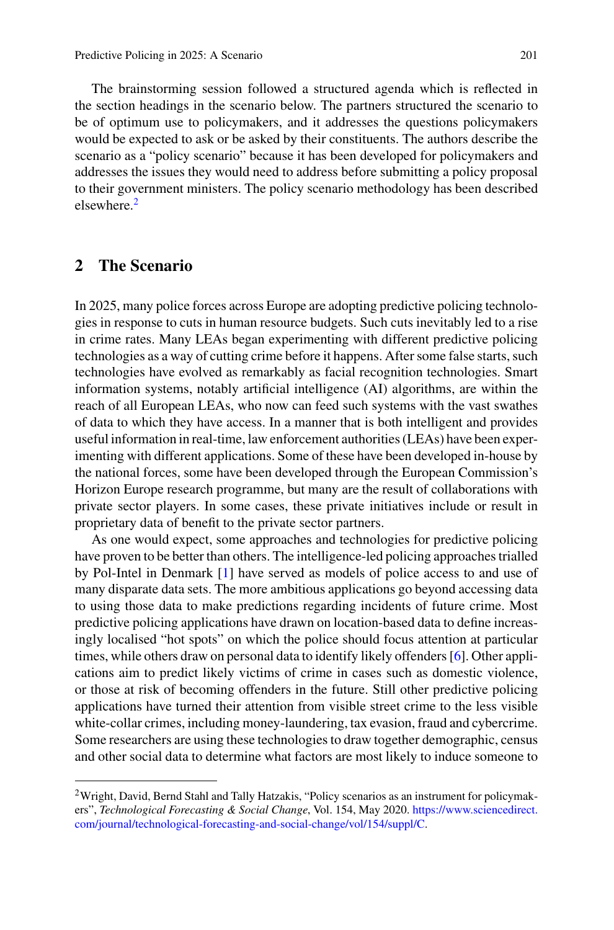The brainstorming session followed a structured agenda which is reflected in the section headings in the scenario below. The partners structured the scenario to be of optimum use to policymakers, and it addresses the questions policymakers would be expected to ask or be asked by their constituents. The authors describe the scenario as a "policy scenario" because it has been developed for policymakers and addresses the issues they would need to address before submitting a policy proposal to their government ministers. The policy scenario methodology has been described elsewhere.[2](#page-2-0)

#### **2 The Scenario**

In 2025, many police forces across Europe are adopting predictive policing technologies in response to cuts in human resource budgets. Such cuts inevitably led to a rise in crime rates. Many LEAs began experimenting with different predictive policing technologies as a way of cutting crime before it happens. After some false starts, such technologies have evolved as remarkably as facial recognition technologies. Smart information systems, notably artificial intelligence (AI) algorithms, are within the reach of all European LEAs, who now can feed such systems with the vast swathes of data to which they have access. In a manner that is both intelligent and provides useful information in real-time, law enforcement authorities (LEAs) have been experimenting with different applications. Some of these have been developed in-house by the national forces, some have been developed through the European Commission's Horizon Europe research programme, but many are the result of collaborations with private sector players. In some cases, these private initiatives include or result in proprietary data of benefit to the private sector partners.

As one would expect, some approaches and technologies for predictive policing have proven to be better than others. The intelligence-led policing approaches trialled by Pol-Intel in Denmark [\[1\]](#page-15-0) have served as models of police access to and use of many disparate data sets. The more ambitious applications go beyond accessing data to using those data to make predictions regarding incidents of future crime. Most predictive policing applications have drawn on location-based data to define increasingly localised "hot spots" on which the police should focus attention at particular times, while others draw on personal data to identify likely offenders [\[6\]](#page-15-1). Other applications aim to predict likely victims of crime in cases such as domestic violence, or those at risk of becoming offenders in the future. Still other predictive policing applications have turned their attention from visible street crime to the less visible white-collar crimes, including money-laundering, tax evasion, fraud and cybercrime. Some researchers are using these technologies to draw together demographic, census and other social data to determine what factors are most likely to induce someone to

<span id="page-2-0"></span><sup>&</sup>lt;sup>2</sup>Wright, David, Bernd Stahl and Tally Hatzakis, "Policy scenarios as an instrument for policymakers", *Technological Forecasting & Social Change*, Vol. 154, May 2020. https://www.sciencedirect. [com/journal/technological-forecasting-and-social-change/vol/154/suppl/C.](https://www.sciencedirect.com/journal/technological-forecasting-and-social-change/vol/154/suppl/C)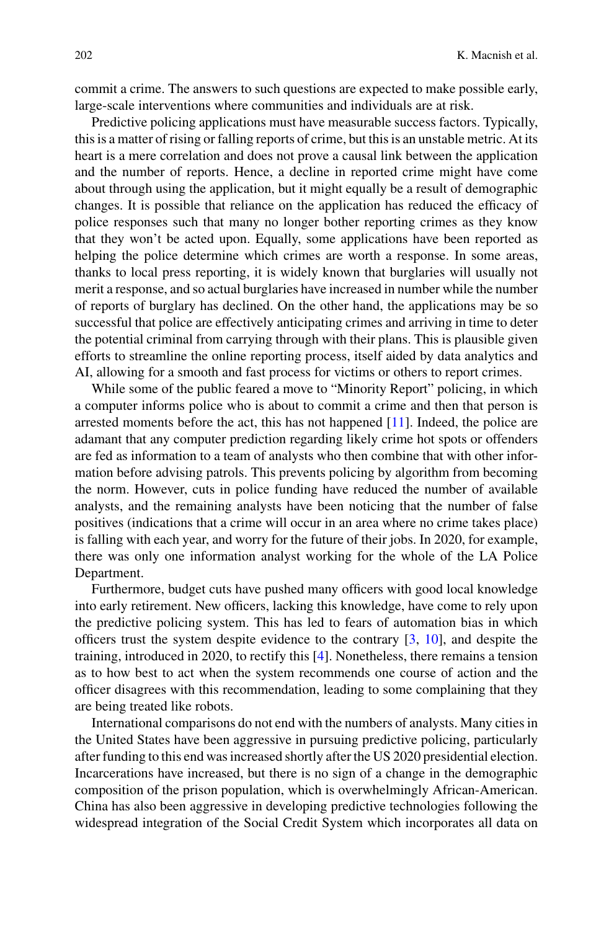commit a crime. The answers to such questions are expected to make possible early, large-scale interventions where communities and individuals are at risk.

Predictive policing applications must have measurable success factors. Typically, this is a matter of rising or falling reports of crime, but this is an unstable metric. At its heart is a mere correlation and does not prove a causal link between the application and the number of reports. Hence, a decline in reported crime might have come about through using the application, but it might equally be a result of demographic changes. It is possible that reliance on the application has reduced the efficacy of police responses such that many no longer bother reporting crimes as they know that they won't be acted upon. Equally, some applications have been reported as helping the police determine which crimes are worth a response. In some areas, thanks to local press reporting, it is widely known that burglaries will usually not merit a response, and so actual burglaries have increased in number while the number of reports of burglary has declined. On the other hand, the applications may be so successful that police are effectively anticipating crimes and arriving in time to deter the potential criminal from carrying through with their plans. This is plausible given efforts to streamline the online reporting process, itself aided by data analytics and AI, allowing for a smooth and fast process for victims or others to report crimes.

While some of the public feared a move to "Minority Report" policing, in which a computer informs police who is about to commit a crime and then that person is arrested moments before the act, this has not happened [\[11\]](#page-16-1). Indeed, the police are adamant that any computer prediction regarding likely crime hot spots or offenders are fed as information to a team of analysts who then combine that with other information before advising patrols. This prevents policing by algorithm from becoming the norm. However, cuts in police funding have reduced the number of available analysts, and the remaining analysts have been noticing that the number of false positives (indications that a crime will occur in an area where no crime takes place) is falling with each year, and worry for the future of their jobs. In 2020, for example, there was only one information analyst working for the whole of the LA Police Department.

Furthermore, budget cuts have pushed many officers with good local knowledge into early retirement. New officers, lacking this knowledge, have come to rely upon the predictive policing system. This has led to fears of automation bias in which officers trust the system despite evidence to the contrary [\[3,](#page-15-2) [10\]](#page-15-3), and despite the training, introduced in 2020, to rectify this [\[4\]](#page-15-4). Nonetheless, there remains a tension as to how best to act when the system recommends one course of action and the officer disagrees with this recommendation, leading to some complaining that they are being treated like robots.

International comparisons do not end with the numbers of analysts. Many cities in the United States have been aggressive in pursuing predictive policing, particularly after funding to this end was increased shortly after the US 2020 presidential election. Incarcerations have increased, but there is no sign of a change in the demographic composition of the prison population, which is overwhelmingly African-American. China has also been aggressive in developing predictive technologies following the widespread integration of the Social Credit System which incorporates all data on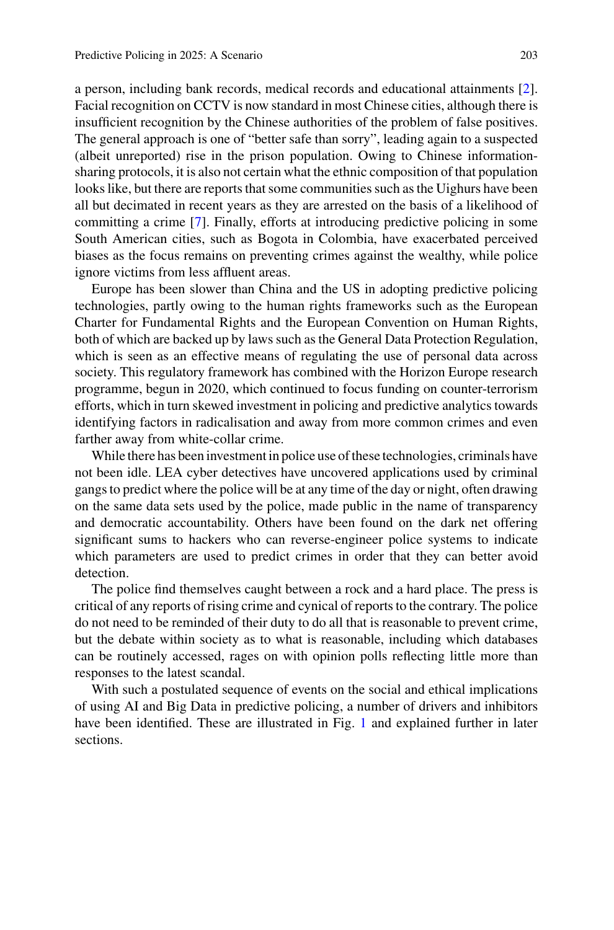a person, including bank records, medical records and educational attainments [\[2\]](#page-15-5). Facial recognition on CCTV is now standard in most Chinese cities, although there is insufficient recognition by the Chinese authorities of the problem of false positives. The general approach is one of "better safe than sorry", leading again to a suspected (albeit unreported) rise in the prison population. Owing to Chinese informationsharing protocols, it is also not certain what the ethnic composition of that population looks like, but there are reports that some communities such as the Uighurs have been all but decimated in recent years as they are arrested on the basis of a likelihood of committing a crime [\[7\]](#page-15-6). Finally, efforts at introducing predictive policing in some South American cities, such as Bogota in Colombia, have exacerbated perceived biases as the focus remains on preventing crimes against the wealthy, while police ignore victims from less affluent areas.

Europe has been slower than China and the US in adopting predictive policing technologies, partly owing to the human rights frameworks such as the European Charter for Fundamental Rights and the European Convention on Human Rights, both of which are backed up by laws such as the General Data Protection Regulation, which is seen as an effective means of regulating the use of personal data across society. This regulatory framework has combined with the Horizon Europe research programme, begun in 2020, which continued to focus funding on counter-terrorism efforts, which in turn skewed investment in policing and predictive analytics towards identifying factors in radicalisation and away from more common crimes and even farther away from white-collar crime.

While there has been investment in police use of these technologies, criminals have not been idle. LEA cyber detectives have uncovered applications used by criminal gangs to predict where the police will be at any time of the day or night, often drawing on the same data sets used by the police, made public in the name of transparency and democratic accountability. Others have been found on the dark net offering significant sums to hackers who can reverse-engineer police systems to indicate which parameters are used to predict crimes in order that they can better avoid detection.

The police find themselves caught between a rock and a hard place. The press is critical of any reports of rising crime and cynical of reports to the contrary. The police do not need to be reminded of their duty to do all that is reasonable to prevent crime, but the debate within society as to what is reasonable, including which databases can be routinely accessed, rages on with opinion polls reflecting little more than responses to the latest scandal.

With such a postulated sequence of events on the social and ethical implications of using AI and Big Data in predictive policing, a number of drivers and inhibitors have been identified. These are illustrated in Fig. [1](#page-5-0) and explained further in later sections.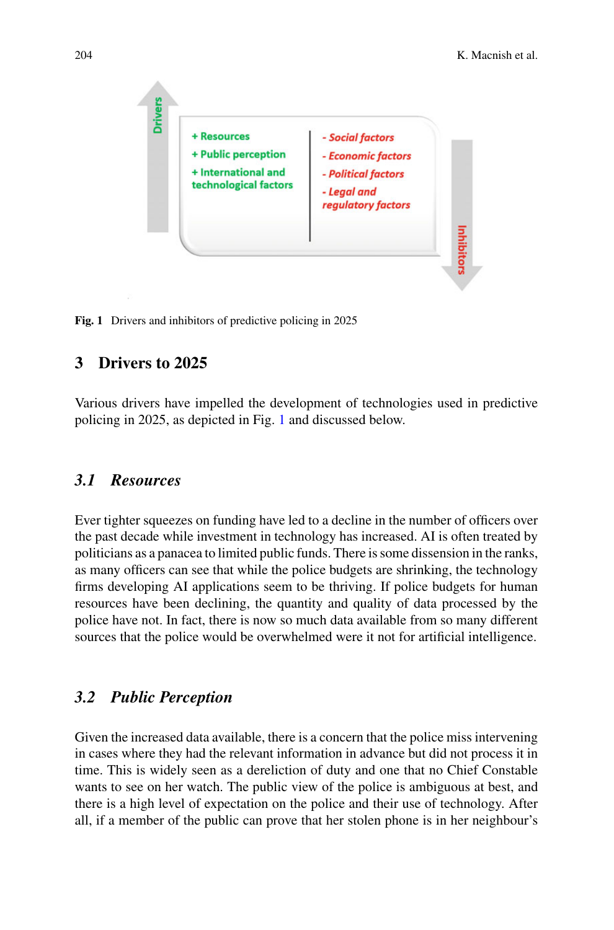

<span id="page-5-0"></span>**Fig. 1** Drivers and inhibitors of predictive policing in 2025

## **3 Drivers to 2025**

Various drivers have impelled the development of technologies used in predictive policing in 2025, as depicted in Fig. [1](#page-5-0) and discussed below.

## *3.1 Resources*

Ever tighter squeezes on funding have led to a decline in the number of officers over the past decade while investment in technology has increased. AI is often treated by politicians as a panacea to limited public funds. There is some dissension in the ranks, as many officers can see that while the police budgets are shrinking, the technology firms developing AI applications seem to be thriving. If police budgets for human resources have been declining, the quantity and quality of data processed by the police have not. In fact, there is now so much data available from so many different sources that the police would be overwhelmed were it not for artificial intelligence.

#### *3.2 Public Perception*

Given the increased data available, there is a concern that the police miss intervening in cases where they had the relevant information in advance but did not process it in time. This is widely seen as a dereliction of duty and one that no Chief Constable wants to see on her watch. The public view of the police is ambiguous at best, and there is a high level of expectation on the police and their use of technology. After all, if a member of the public can prove that her stolen phone is in her neighbour's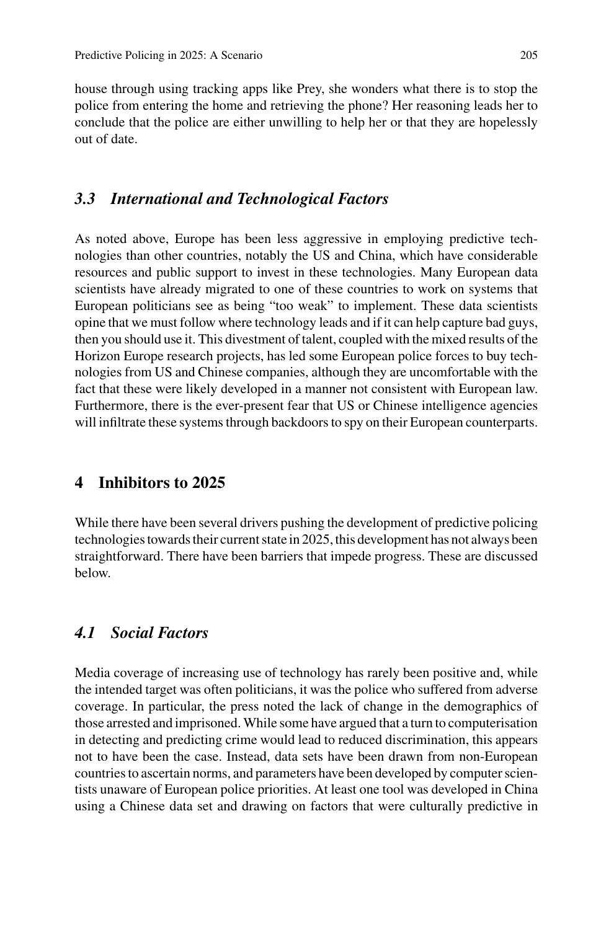house through using tracking apps like Prey, she wonders what there is to stop the police from entering the home and retrieving the phone? Her reasoning leads her to conclude that the police are either unwilling to help her or that they are hopelessly out of date.

#### *3.3 International and Technological Factors*

As noted above, Europe has been less aggressive in employing predictive technologies than other countries, notably the US and China, which have considerable resources and public support to invest in these technologies. Many European data scientists have already migrated to one of these countries to work on systems that European politicians see as being "too weak" to implement. These data scientists opine that we must follow where technology leads and if it can help capture bad guys, then you should use it. This divestment of talent, coupled with the mixed results of the Horizon Europe research projects, has led some European police forces to buy technologies from US and Chinese companies, although they are uncomfortable with the fact that these were likely developed in a manner not consistent with European law. Furthermore, there is the ever-present fear that US or Chinese intelligence agencies will infiltrate these systems through backdoors to spy on their European counterparts.

## **4 Inhibitors to 2025**

While there have been several drivers pushing the development of predictive policing technologies towards their current state in 2025, this development has not always been straightforward. There have been barriers that impede progress. These are discussed below.

## *4.1 Social Factors*

Media coverage of increasing use of technology has rarely been positive and, while the intended target was often politicians, it was the police who suffered from adverse coverage. In particular, the press noted the lack of change in the demographics of those arrested and imprisoned. While some have argued that a turn to computerisation in detecting and predicting crime would lead to reduced discrimination, this appears not to have been the case. Instead, data sets have been drawn from non-European countries to ascertain norms, and parameters have been developed by computer scientists unaware of European police priorities. At least one tool was developed in China using a Chinese data set and drawing on factors that were culturally predictive in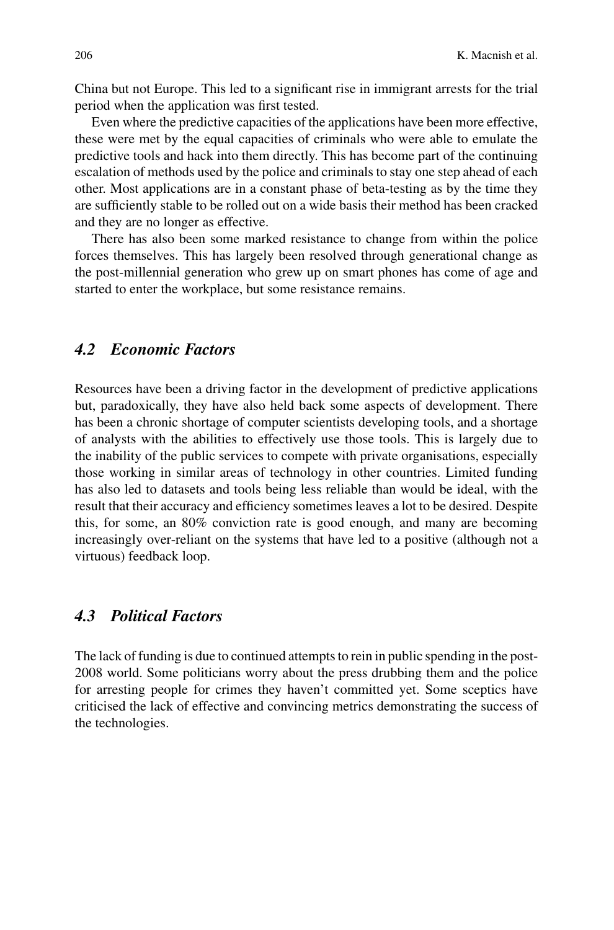China but not Europe. This led to a significant rise in immigrant arrests for the trial period when the application was first tested.

Even where the predictive capacities of the applications have been more effective, these were met by the equal capacities of criminals who were able to emulate the predictive tools and hack into them directly. This has become part of the continuing escalation of methods used by the police and criminals to stay one step ahead of each other. Most applications are in a constant phase of beta-testing as by the time they are sufficiently stable to be rolled out on a wide basis their method has been cracked and they are no longer as effective.

There has also been some marked resistance to change from within the police forces themselves. This has largely been resolved through generational change as the post-millennial generation who grew up on smart phones has come of age and started to enter the workplace, but some resistance remains.

#### *4.2 Economic Factors*

Resources have been a driving factor in the development of predictive applications but, paradoxically, they have also held back some aspects of development. There has been a chronic shortage of computer scientists developing tools, and a shortage of analysts with the abilities to effectively use those tools. This is largely due to the inability of the public services to compete with private organisations, especially those working in similar areas of technology in other countries. Limited funding has also led to datasets and tools being less reliable than would be ideal, with the result that their accuracy and efficiency sometimes leaves a lot to be desired. Despite this, for some, an 80% conviction rate is good enough, and many are becoming increasingly over-reliant on the systems that have led to a positive (although not a virtuous) feedback loop.

## *4.3 Political Factors*

The lack of funding is due to continued attempts to rein in public spending in the post-2008 world. Some politicians worry about the press drubbing them and the police for arresting people for crimes they haven't committed yet. Some sceptics have criticised the lack of effective and convincing metrics demonstrating the success of the technologies.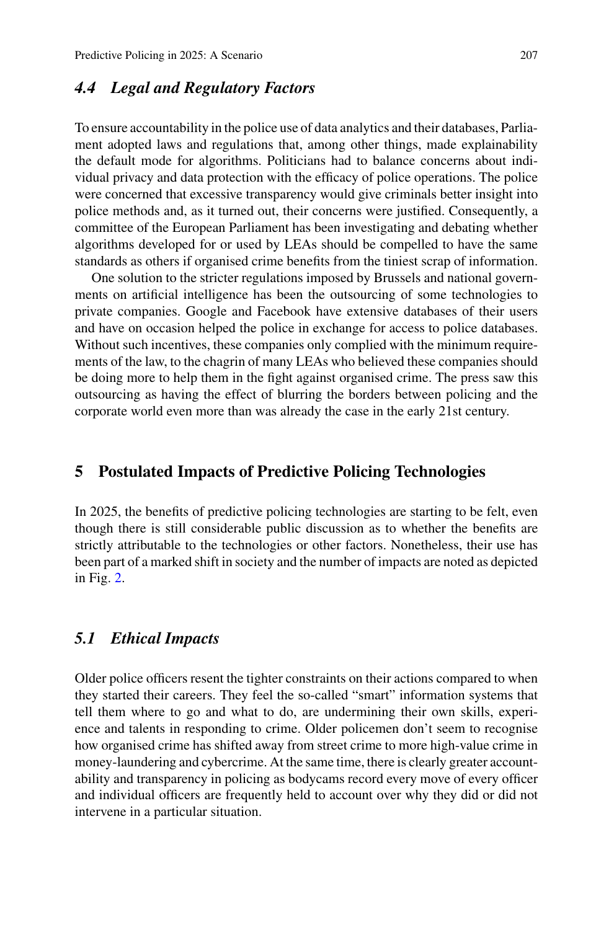#### *4.4 Legal and Regulatory Factors*

To ensure accountability in the police use of data analytics and their databases, Parliament adopted laws and regulations that, among other things, made explainability the default mode for algorithms. Politicians had to balance concerns about individual privacy and data protection with the efficacy of police operations. The police were concerned that excessive transparency would give criminals better insight into police methods and, as it turned out, their concerns were justified. Consequently, a committee of the European Parliament has been investigating and debating whether algorithms developed for or used by LEAs should be compelled to have the same standards as others if organised crime benefits from the tiniest scrap of information.

One solution to the stricter regulations imposed by Brussels and national governments on artificial intelligence has been the outsourcing of some technologies to private companies. Google and Facebook have extensive databases of their users and have on occasion helped the police in exchange for access to police databases. Without such incentives, these companies only complied with the minimum requirements of the law, to the chagrin of many LEAs who believed these companies should be doing more to help them in the fight against organised crime. The press saw this outsourcing as having the effect of blurring the borders between policing and the corporate world even more than was already the case in the early 21st century.

#### **5 Postulated Impacts of Predictive Policing Technologies**

In 2025, the benefits of predictive policing technologies are starting to be felt, even though there is still considerable public discussion as to whether the benefits are strictly attributable to the technologies or other factors. Nonetheless, their use has been part of a marked shift in society and the number of impacts are noted as depicted in Fig. [2.](#page-9-0)

#### *5.1 Ethical Impacts*

Older police officers resent the tighter constraints on their actions compared to when they started their careers. They feel the so-called "smart" information systems that tell them where to go and what to do, are undermining their own skills, experience and talents in responding to crime. Older policemen don't seem to recognise how organised crime has shifted away from street crime to more high-value crime in money-laundering and cybercrime. At the same time, there is clearly greater accountability and transparency in policing as bodycams record every move of every officer and individual officers are frequently held to account over why they did or did not intervene in a particular situation.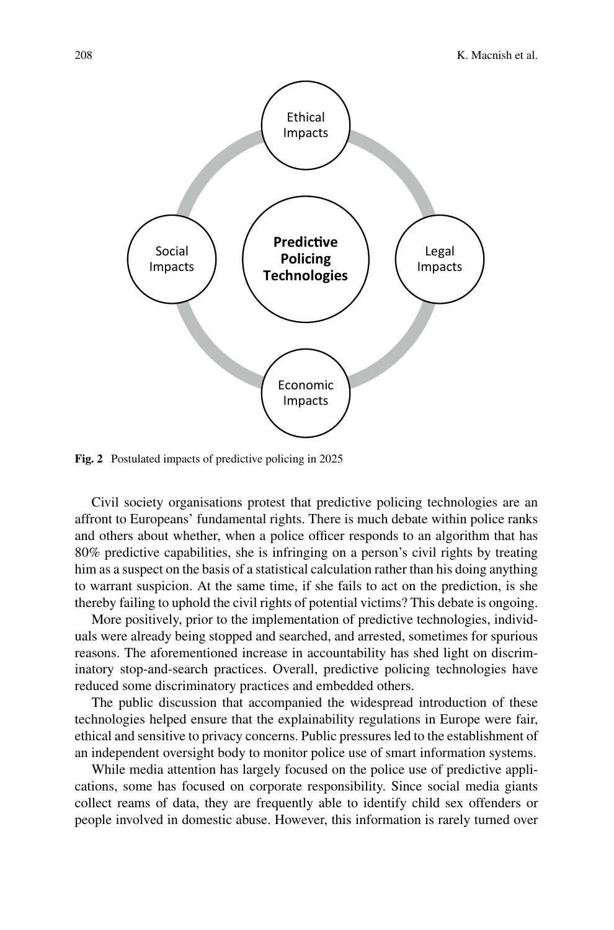

<span id="page-9-0"></span>**Fig. 2** Postulated impacts of predictive policing in 2025

Civil society organisations protest that predictive policing technologies are an affront to Europeans' fundamental rights. There is much debate within police ranks and others about whether, when a police officer responds to an algorithm that has 80% predictive capabilities, she is infringing on a person's civil rights by treating him as a suspect on the basis of a statistical calculation rather than his doing anything to warrant suspicion. At the same time, if she fails to act on the prediction, is she thereby failing to uphold the civil rights of potential victims? This debate is ongoing.

More positively, prior to the implementation of predictive technologies, individuals were already being stopped and searched, and arrested, sometimes for spurious reasons. The aforementioned increase in accountability has shed light on discriminatory stop-and-search practices. Overall, predictive policing technologies have reduced some discriminatory practices and embedded others.

The public discussion that accompanied the widespread introduction of these technologies helped ensure that the explainability regulations in Europe were fair, ethical and sensitive to privacy concerns. Public pressures led to the establishment of an independent oversight body to monitor police use of smart information systems.

While media attention has largely focused on the police use of predictive applications, some has focused on corporate responsibility. Since social media giants collect reams of data, they are frequently able to identify child sex offenders or people involved in domestic abuse. However, this information is rarely turned over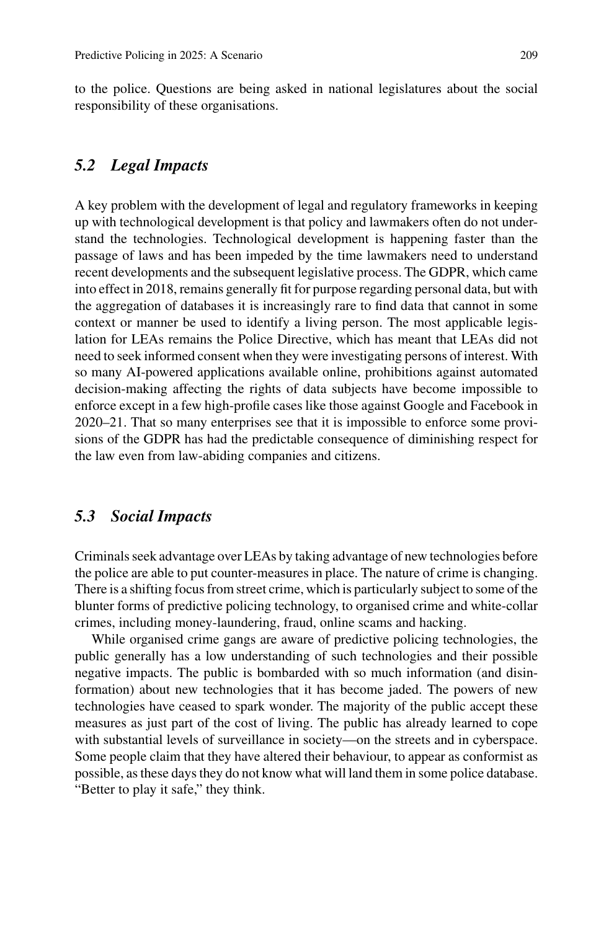to the police. Questions are being asked in national legislatures about the social responsibility of these organisations.

#### *5.2 Legal Impacts*

A key problem with the development of legal and regulatory frameworks in keeping up with technological development is that policy and lawmakers often do not understand the technologies. Technological development is happening faster than the passage of laws and has been impeded by the time lawmakers need to understand recent developments and the subsequent legislative process. The GDPR, which came into effect in 2018, remains generally fit for purpose regarding personal data, but with the aggregation of databases it is increasingly rare to find data that cannot in some context or manner be used to identify a living person. The most applicable legislation for LEAs remains the Police Directive, which has meant that LEAs did not need to seek informed consent when they were investigating persons of interest. With so many AI-powered applications available online, prohibitions against automated decision-making affecting the rights of data subjects have become impossible to enforce except in a few high-profile cases like those against Google and Facebook in 2020–21. That so many enterprises see that it is impossible to enforce some provisions of the GDPR has had the predictable consequence of diminishing respect for the law even from law-abiding companies and citizens.

#### *5.3 Social Impacts*

Criminals seek advantage over LEAs by taking advantage of new technologies before the police are able to put counter-measures in place. The nature of crime is changing. There is a shifting focus from street crime, which is particularly subject to some of the blunter forms of predictive policing technology, to organised crime and white-collar crimes, including money-laundering, fraud, online scams and hacking.

While organised crime gangs are aware of predictive policing technologies, the public generally has a low understanding of such technologies and their possible negative impacts. The public is bombarded with so much information (and disinformation) about new technologies that it has become jaded. The powers of new technologies have ceased to spark wonder. The majority of the public accept these measures as just part of the cost of living. The public has already learned to cope with substantial levels of surveillance in society—on the streets and in cyberspace. Some people claim that they have altered their behaviour, to appear as conformist as possible, as these days they do not know what will land them in some police database. "Better to play it safe," they think.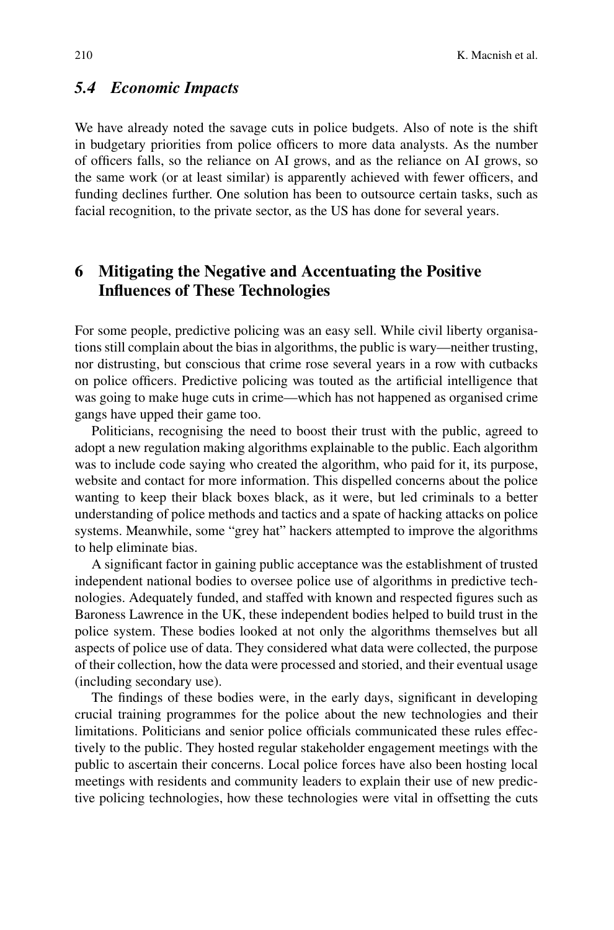#### *5.4 Economic Impacts*

We have already noted the savage cuts in police budgets. Also of note is the shift in budgetary priorities from police officers to more data analysts. As the number of officers falls, so the reliance on AI grows, and as the reliance on AI grows, so the same work (or at least similar) is apparently achieved with fewer officers, and funding declines further. One solution has been to outsource certain tasks, such as facial recognition, to the private sector, as the US has done for several years.

## **6 Mitigating the Negative and Accentuating the Positive Influences of These Technologies**

For some people, predictive policing was an easy sell. While civil liberty organisations still complain about the bias in algorithms, the public is wary—neither trusting, nor distrusting, but conscious that crime rose several years in a row with cutbacks on police officers. Predictive policing was touted as the artificial intelligence that was going to make huge cuts in crime—which has not happened as organised crime gangs have upped their game too.

Politicians, recognising the need to boost their trust with the public, agreed to adopt a new regulation making algorithms explainable to the public. Each algorithm was to include code saying who created the algorithm, who paid for it, its purpose, website and contact for more information. This dispelled concerns about the police wanting to keep their black boxes black, as it were, but led criminals to a better understanding of police methods and tactics and a spate of hacking attacks on police systems. Meanwhile, some "grey hat" hackers attempted to improve the algorithms to help eliminate bias.

A significant factor in gaining public acceptance was the establishment of trusted independent national bodies to oversee police use of algorithms in predictive technologies. Adequately funded, and staffed with known and respected figures such as Baroness Lawrence in the UK, these independent bodies helped to build trust in the police system. These bodies looked at not only the algorithms themselves but all aspects of police use of data. They considered what data were collected, the purpose of their collection, how the data were processed and storied, and their eventual usage (including secondary use).

The findings of these bodies were, in the early days, significant in developing crucial training programmes for the police about the new technologies and their limitations. Politicians and senior police officials communicated these rules effectively to the public. They hosted regular stakeholder engagement meetings with the public to ascertain their concerns. Local police forces have also been hosting local meetings with residents and community leaders to explain their use of new predictive policing technologies, how these technologies were vital in offsetting the cuts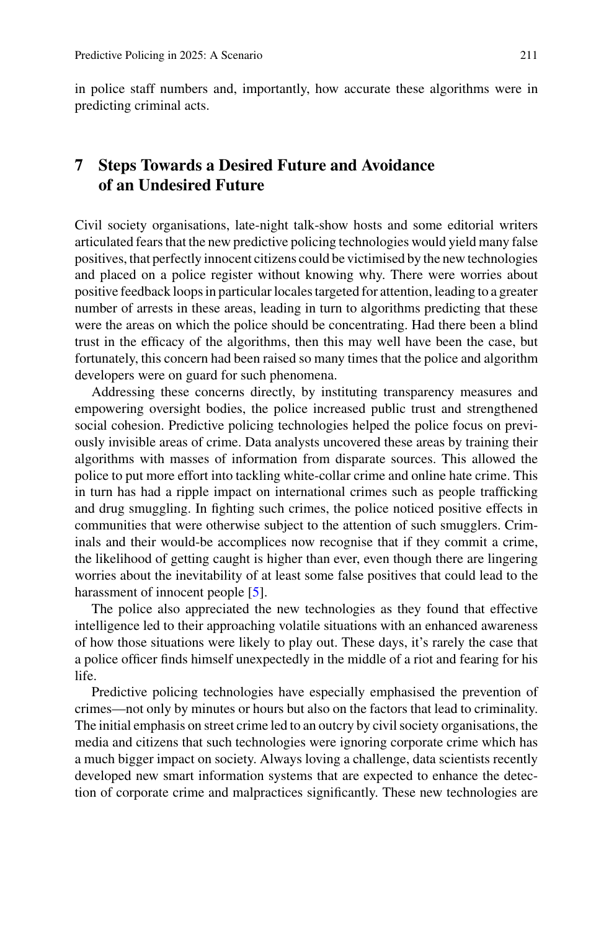in police staff numbers and, importantly, how accurate these algorithms were in predicting criminal acts.

## **7 Steps Towards a Desired Future and Avoidance of an Undesired Future**

Civil society organisations, late-night talk-show hosts and some editorial writers articulated fears that the new predictive policing technologies would yield many false positives, that perfectly innocent citizens could be victimised by the new technologies and placed on a police register without knowing why. There were worries about positive feedback loops in particular locales targeted for attention, leading to a greater number of arrests in these areas, leading in turn to algorithms predicting that these were the areas on which the police should be concentrating. Had there been a blind trust in the efficacy of the algorithms, then this may well have been the case, but fortunately, this concern had been raised so many times that the police and algorithm developers were on guard for such phenomena.

Addressing these concerns directly, by instituting transparency measures and empowering oversight bodies, the police increased public trust and strengthened social cohesion. Predictive policing technologies helped the police focus on previously invisible areas of crime. Data analysts uncovered these areas by training their algorithms with masses of information from disparate sources. This allowed the police to put more effort into tackling white-collar crime and online hate crime. This in turn has had a ripple impact on international crimes such as people trafficking and drug smuggling. In fighting such crimes, the police noticed positive effects in communities that were otherwise subject to the attention of such smugglers. Criminals and their would-be accomplices now recognise that if they commit a crime, the likelihood of getting caught is higher than ever, even though there are lingering worries about the inevitability of at least some false positives that could lead to the harassment of innocent people [\[5\]](#page-15-7).

The police also appreciated the new technologies as they found that effective intelligence led to their approaching volatile situations with an enhanced awareness of how those situations were likely to play out. These days, it's rarely the case that a police officer finds himself unexpectedly in the middle of a riot and fearing for his life.

Predictive policing technologies have especially emphasised the prevention of crimes—not only by minutes or hours but also on the factors that lead to criminality. The initial emphasis on street crime led to an outcry by civil society organisations, the media and citizens that such technologies were ignoring corporate crime which has a much bigger impact on society. Always loving a challenge, data scientists recently developed new smart information systems that are expected to enhance the detection of corporate crime and malpractices significantly. These new technologies are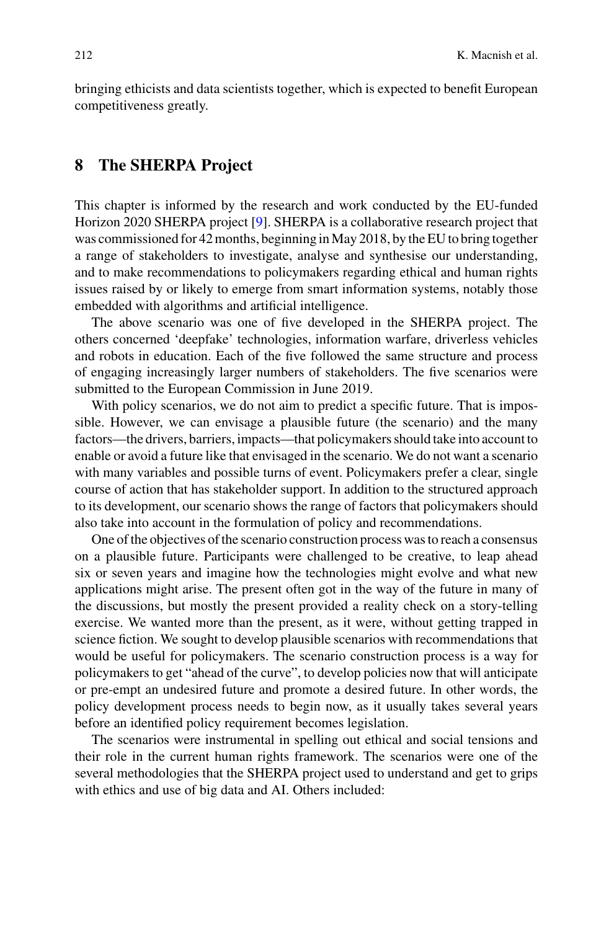bringing ethicists and data scientists together, which is expected to benefit European competitiveness greatly.

#### **8 The SHERPA Project**

This chapter is informed by the research and work conducted by the EU-funded Horizon 2020 SHERPA project [\[9\]](#page-15-8). SHERPA is a collaborative research project that was commissioned for 42 months, beginning inMay 2018, by the EU to bring together a range of stakeholders to investigate, analyse and synthesise our understanding, and to make recommendations to policymakers regarding ethical and human rights issues raised by or likely to emerge from smart information systems, notably those embedded with algorithms and artificial intelligence.

The above scenario was one of five developed in the SHERPA project. The others concerned 'deepfake' technologies, information warfare, driverless vehicles and robots in education. Each of the five followed the same structure and process of engaging increasingly larger numbers of stakeholders. The five scenarios were submitted to the European Commission in June 2019.

With policy scenarios, we do not aim to predict a specific future. That is impossible. However, we can envisage a plausible future (the scenario) and the many factors—the drivers, barriers, impacts—that policymakers should take into account to enable or avoid a future like that envisaged in the scenario. We do not want a scenario with many variables and possible turns of event. Policymakers prefer a clear, single course of action that has stakeholder support. In addition to the structured approach to its development, our scenario shows the range of factors that policymakers should also take into account in the formulation of policy and recommendations.

One of the objectives of the scenario construction process was to reach a consensus on a plausible future. Participants were challenged to be creative, to leap ahead six or seven years and imagine how the technologies might evolve and what new applications might arise. The present often got in the way of the future in many of the discussions, but mostly the present provided a reality check on a story-telling exercise. We wanted more than the present, as it were, without getting trapped in science fiction. We sought to develop plausible scenarios with recommendations that would be useful for policymakers. The scenario construction process is a way for policymakers to get "ahead of the curve", to develop policies now that will anticipate or pre-empt an undesired future and promote a desired future. In other words, the policy development process needs to begin now, as it usually takes several years before an identified policy requirement becomes legislation.

The scenarios were instrumental in spelling out ethical and social tensions and their role in the current human rights framework. The scenarios were one of the several methodologies that the SHERPA project used to understand and get to grips with ethics and use of big data and AI. Others included: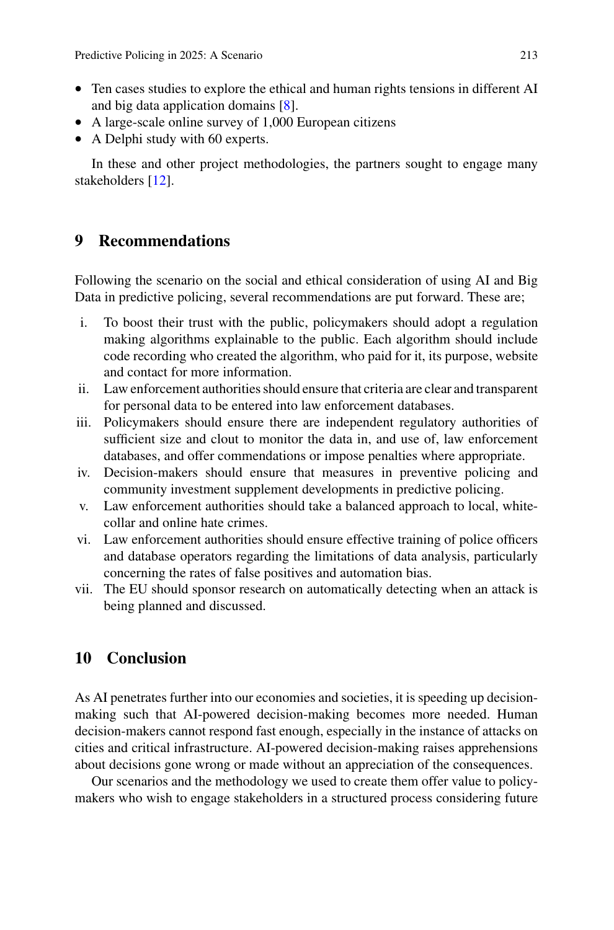- Ten cases studies to explore the ethical and human rights tensions in different AI and big data application domains [\[8\]](#page-15-9).
- A large-scale online survey of 1,000 European citizens
- A Delphi study with 60 experts.

In these and other project methodologies, the partners sought to engage many stakeholders [\[12\]](#page-16-0).

## **9 Recommendations**

Following the scenario on the social and ethical consideration of using AI and Big Data in predictive policing, several recommendations are put forward. These are;

- i. To boost their trust with the public, policymakers should adopt a regulation making algorithms explainable to the public. Each algorithm should include code recording who created the algorithm, who paid for it, its purpose, website and contact for more information.
- ii. Law enforcement authorities should ensure that criteria are clear and transparent for personal data to be entered into law enforcement databases.
- iii. Policymakers should ensure there are independent regulatory authorities of sufficient size and clout to monitor the data in, and use of, law enforcement databases, and offer commendations or impose penalties where appropriate.
- iv. Decision-makers should ensure that measures in preventive policing and community investment supplement developments in predictive policing.
- v. Law enforcement authorities should take a balanced approach to local, whitecollar and online hate crimes.
- vi. Law enforcement authorities should ensure effective training of police officers and database operators regarding the limitations of data analysis, particularly concerning the rates of false positives and automation bias.
- vii. The EU should sponsor research on automatically detecting when an attack is being planned and discussed.

### **10 Conclusion**

As AI penetrates further into our economies and societies, it is speeding up decisionmaking such that AI-powered decision-making becomes more needed. Human decision-makers cannot respond fast enough, especially in the instance of attacks on cities and critical infrastructure. AI-powered decision-making raises apprehensions about decisions gone wrong or made without an appreciation of the consequences.

Our scenarios and the methodology we used to create them offer value to policymakers who wish to engage stakeholders in a structured process considering future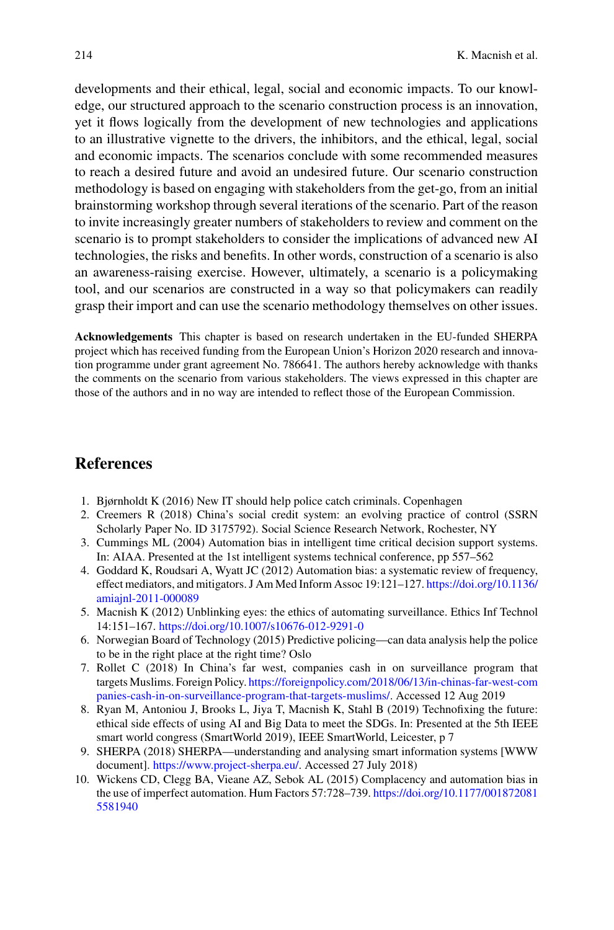developments and their ethical, legal, social and economic impacts. To our knowledge, our structured approach to the scenario construction process is an innovation, yet it flows logically from the development of new technologies and applications to an illustrative vignette to the drivers, the inhibitors, and the ethical, legal, social and economic impacts. The scenarios conclude with some recommended measures to reach a desired future and avoid an undesired future. Our scenario construction methodology is based on engaging with stakeholders from the get-go, from an initial brainstorming workshop through several iterations of the scenario. Part of the reason to invite increasingly greater numbers of stakeholders to review and comment on the scenario is to prompt stakeholders to consider the implications of advanced new AI technologies, the risks and benefits. In other words, construction of a scenario is also an awareness-raising exercise. However, ultimately, a scenario is a policymaking tool, and our scenarios are constructed in a way so that policymakers can readily grasp their import and can use the scenario methodology themselves on other issues.

**Acknowledgements** This chapter is based on research undertaken in the EU-funded SHERPA project which has received funding from the European Union's Horizon 2020 research and innovation programme under grant agreement No. 786641. The authors hereby acknowledge with thanks the comments on the scenario from various stakeholders. The views expressed in this chapter are those of the authors and in no way are intended to reflect those of the European Commission.

#### **References**

- <span id="page-15-0"></span>1. Bjørnholdt K (2016) New IT should help police catch criminals. Copenhagen
- <span id="page-15-5"></span>2. Creemers R (2018) China's social credit system: an evolving practice of control (SSRN Scholarly Paper No. ID 3175792). Social Science Research Network, Rochester, NY
- <span id="page-15-2"></span>3. Cummings ML (2004) Automation bias in intelligent time critical decision support systems. In: AIAA. Presented at the 1st intelligent systems technical conference, pp 557–562
- <span id="page-15-4"></span>4. Goddard K, Roudsari A, Wyatt JC (2012) Automation bias: a systematic review of frequency, [effect mediators, and mitigators. J Am Med Inform Assoc 19:121–127.](https://doi.org/10.1136/amiajnl-2011-000089) https://doi.org/10.1136/ amiajnl-2011-000089
- <span id="page-15-7"></span>5. Macnish K (2012) Unblinking eyes: the ethics of automating surveillance. Ethics Inf Technol 14:151–167. <https://doi.org/10.1007/s10676-012-9291-0>
- <span id="page-15-1"></span>6. Norwegian Board of Technology (2015) Predictive policing—can data analysis help the police to be in the right place at the right time? Oslo
- <span id="page-15-6"></span>7. Rollet C (2018) In China's far west, companies cash in on surveillance program that targets Muslims. Foreign Policy. https://foreignpolicy.com/2018/06/13/in-chinas-far-west-com [panies-cash-in-on-surveillance-program-that-targets-muslims/. Accessed 12 Aug 2019](https://foreignpolicy.com/2018/06/13/in-chinas-far-west-companies-cash-in-on-surveillance-program-that-targets-muslims/)
- <span id="page-15-9"></span>8. Ryan M, Antoniou J, Brooks L, Jiya T, Macnish K, Stahl B (2019) Technofixing the future: ethical side effects of using AI and Big Data to meet the SDGs. In: Presented at the 5th IEEE smart world congress (SmartWorld 2019), IEEE SmartWorld, Leicester, p 7
- <span id="page-15-8"></span>9. SHERPA (2018) SHERPA—understanding and analysing smart information systems [WWW document]. [https://www.project-sherpa.eu/.](https://www.project-sherpa.eu/) Accessed 27 July 2018)
- <span id="page-15-3"></span>10. Wickens CD, Clegg BA, Vieane AZ, Sebok AL (2015) Complacency and automation bias in [the use of imperfect automation. Hum Factors 57:728–739.](https://doi.org/10.1177/0018720815581940) https://doi.org/10.1177/001872081 5581940